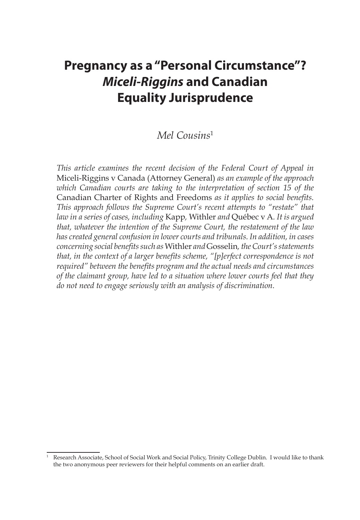# **Pregnancy as a "Personal Circumstance"?**  *Miceli-Riggins* **and Canadian Equality Jurisprudence**

# *Mel Cousins*<sup>1</sup>

*This article examines the recent decision of the Federal Court of Appeal in*  Miceli-Riggins v Canada (Attorney General) *as an example of the approach which Canadian courts are taking to the interpretation of section 15 of the*  Canadian Charter of Rights and Freedoms *as it applies to social benefits. This approach follows the Supreme Court's recent attempts to "restate" that law in a series of cases, including* Kapp*,* Withler *and* Québec v A*. It is argued that, whatever the intention of the Supreme Court, the restatement of the law has created general confusion in lower courts and tribunals. In addition, in cases concerning social benefits such as* Withler *and* Gosselin*, the Court's statements that, in the context of a larger benefits scheme, "[p]erfect correspondence is not required" between the benefits program and the actual needs and circumstances of the claimant group, have led to a situation where lower courts feel that they do not need to engage seriously with an analysis of discrimination.*

<sup>1</sup> Research Associate, School of Social Work and Social Policy, Trinity College Dublin. I would like to thank the two anonymous peer reviewers for their helpful comments on an earlier draft.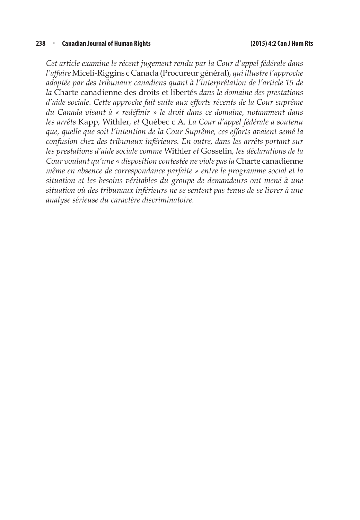#### **238** <sup>n</sup> **Canadian Journal of Human Rights (2015) 4:2 Can J Hum Rts**

*Cet article examine le récent jugement rendu par la Cour d'appel fédérale dans l'affaire* Miceli-Riggins c Canada (Procureur général)*, qui illustre l'approche adoptée par des tribunaux canadiens quant à l'interprétation de l'article 15 de la* Charte canadienne des droits et libertés *dans le domaine des prestations d'aide sociale. Cette approche fait suite aux efforts récents de la Cour suprême du Canada visant à « redéfinir » le droit dans ce domaine, notamment dans les arrêts* Kapp*,* Withler*, et* Québec c A*. La Cour d'appel fédérale a soutenu que, quelle que soit l'intention de la Cour Suprême, ces efforts avaient semé la confusion chez des tribunaux inférieurs. En outre, dans les arrêts portant sur les prestations d'aide sociale comme* Withler *et* Gosselin*, les déclarations de la Cour voulant qu'une « disposition contestée ne viole pas la* Charte canadienne *même en absence de correspondance parfaite » entre le programme social et la situation et les besoins véritables du groupe de demandeurs ont mené à une situation où des tribunaux inférieurs ne se sentent pas tenus de se livrer à une analyse sérieuse du caractère discriminatoire.*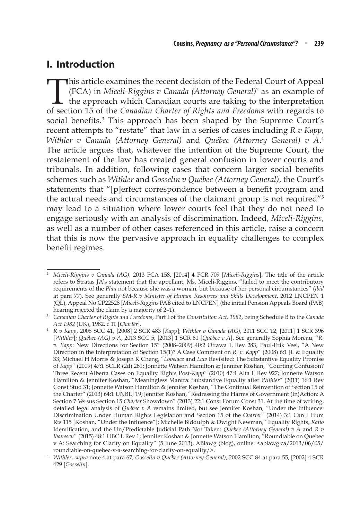# **I. Introduction**

This article examines the recent decision of the Federal Court of Appeal (FCA) in *Miceli-Riggins v Canada (Attorney General)*<sup>2</sup> as an example of the approach which Canadian courts are taking to the interpretation of sect (FCA) in *Miceli-Riggins v Canada (Attorney General)*<sup>2</sup> as an example of the approach which Canadian courts are taking to the interpretation of section 15 of the *Canadian Charter of Rights and Freedoms* with regards to social benefits.<sup>3</sup> This approach has been shaped by the Supreme Court's recent attempts to "restate" that law in a series of cases including *R v Kapp*, *Withler v Canada (Attorney General)* and *Québec (Attorney General) v A*. 4 The article argues that, whatever the intention of the Supreme Court, the restatement of the law has created general confusion in lower courts and tribunals. In addition, following cases that concern larger social benefits schemes such as *Withler* and *Gosselin v Québec (Attorney General)*, the Court's statements that "[p]erfect correspondence between a benefit program and the actual needs and circumstances of the claimant group is not required"5 may lead to a situation where lower courts feel that they do not need to engage seriously with an analysis of discrimination. Indeed, *Miceli-Riggins*, as well as a number of other cases referenced in this article, raise a concern that this is now the pervasive approach in equality challenges to complex benefit regimes.

<sup>2</sup> *Miceli-Riggins v Canada (AG)*, 2013 FCA 158, [2014] 4 FCR 709 [*Miceli-Riggins*]. The title of the article refers to Stratas JA's statement that the appellant, Ms. Miceli-Riggins, "failed to meet the contributory requirements of the *Plan* not because she was a woman, but because of her personal circumstances" (*ibid* at para 77). See generally *SM-R v Minister of Human Resources and Skills Development*, 2012 LNCPEN 1 (QL), Appeal No CP22528 [*Miceli-Riggins* PAB cited to LNCPEN] (the initial Pension Appeals Board (PAB) hearing rejected the claim by a majority of 2–1). 3 *Canadian Charter of Rights and Freedoms*, Part I of the *Constitution Act, 1982*, being Schedule B to the *Canada* 

*Act 1982* (UK), 1982, c 11 [*Charter*].

<sup>4</sup> *R v Kapp*, 2008 SCC 41, [2008] 2 SCR 483 [*Kapp*]; *Withler v Canada (AG)*, 2011 SCC 12, [2011] 1 SCR 396 [*Withler*]; *Québec (AG) v A*, 2013 SCC 5, [2013] 1 SCR 61 [*Québec v A*]. See generally Sophia Moreau, "*R. v. Kapp*: New Directions for Section 15" (2008–2009) 40:2 Ottawa L Rev 283; Paul-Erik Veel, "A New Direction in the Interpretation of Section 15(1)? A Case Comment on *R. v. Kapp*" (2008) 6:1 JL & Equality 33; Michael H Morris & Joseph K Cheng, "*Lovelace* and *Law* Revisited: The Substantive Equality Promise of *Kapp*" (2009) 47:1 SCLR (2d) 281; Jonnette Watson Hamilton & Jennifer Koshan, "Courting Confusion? Three Recent Alberta Cases on Equality Rights Post-*Kapp*" (2010) 47:4 Alta L Rev 927; Jonnette Watson Hamilton & Jennifer Koshan, "Meaningless Mantra: Substantive Equality after *Withler*" (2011) 16:1 Rev Const Stud 31; Jonnette Watson Hamilton & Jennifer Koshan, "The Continual Reinvention of Section 15 of the Charter" (2013) 64:1 UNBLJ 19; Jennifer Koshan, "Redressing the Harms of Government (In)Action: A Section 7 Versus Section 15 *Charter* Showdown" (2013) 22:1 Const Forum Const 31. At the time of writing, detailed legal analysis of *Québec v A* remains limited, but see Jennifer Koshan, "Under the Influence: Discrimination Under Human Rights Legislation and Section 15 of the *Charter*" (2014) 3:1 Can J Hum Rts 115 [Koshan, "Under the Influence"]; Michelle Biddulph & Dwight Newman, "Equality Rights, *Ratio* Identification, and the Un/Predictable Judicial Path Not Taken: *Quebec (Attorney General) v A* and *R v Ibanescu*" (2015) 48:1 UBC L Rev 1; Jennifer Koshan & Jonnette Watson Hamilton, "Roundtable on Quebec v A: Searching for Clarity on Equality" (5 June 2013), ABlawg (blog), online: <ablawg.ca/2013/06/05/ roundtable-on-quebec-v-a-searching-for-clarity-on-equality/>.

<sup>5</sup> *Withler*, *supra* note 4 at para 67; *Gosselin v Québec (Attorney General)*, 2002 SCC 84 at para 55, [2002] 4 SCR 429 [*Gosselin*].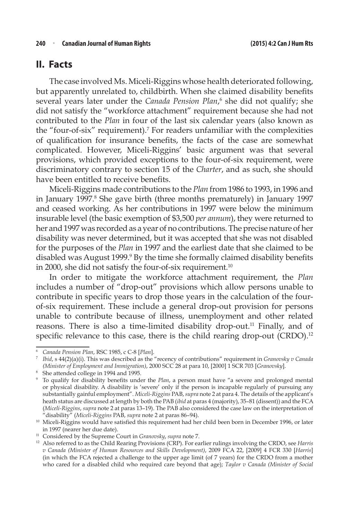### **II. Facts**

The case involved Ms. Miceli-Riggins whose health deteriorated following, but apparently unrelated to, childbirth. When she claimed disability benefits several years later under the *Canada Pension Plan*,<sup>6</sup> she did not qualify; she did not satisfy the "workforce attachment" requirement because she had not contributed to the *Plan* in four of the last six calendar years (also known as the "four-of-six" requirement).<sup>7</sup> For readers unfamiliar with the complexities of qualification for insurance benefits, the facts of the case are somewhat complicated. However, Miceli-Riggins' basic argument was that several provisions, which provided exceptions to the four-of-six requirement, were discriminatory contrary to section 15 of the *Charter*, and as such, she should have been entitled to receive benefits.

Miceli-Riggins made contributions to the *Plan* from 1986 to 1993, in 1996 and in January 1997.8 She gave birth (three months prematurely) in January 1997 and ceased working. As her contributions in 1997 were below the minimum insurable level (the basic exemption of \$3,500 *per annum*), they were returned to her and 1997 was recorded as a year of no contributions. The precise nature of her disability was never determined, but it was accepted that she was not disabled for the purposes of the *Plan* in 1997 and the earliest date that she claimed to be disabled was August 1999.<sup>9</sup> By the time she formally claimed disability benefits in 2000, she did not satisfy the four-of-six requirement.<sup>10</sup>

In order to mitigate the workforce attachment requirement, the *Plan* includes a number of "drop-out" provisions which allow persons unable to contribute in specific years to drop those years in the calculation of the fourof-six requirement. These include a general drop-out provision for persons unable to contribute because of illness, unemployment and other related reasons. There is also a time-limited disability drop-out.<sup>11</sup> Finally, and of specific relevance to this case, there is the child rearing drop-out (CRDO).<sup>12</sup>

<sup>6</sup> *Canada Pension Plan*, RSC 1985, c C-8 [*Plan*].

<sup>7</sup> *Ibid*, s 44(2)(a)(i). This was described as the "recency of contributions" requirement in *Granovsky v Canada (Minister of Employment and Immigration)*, 2000 SCC 28 at para 10, [2000] 1 SCR 703 [*Granovsky*].

<sup>8</sup> She attended college in 1994 and 1995.

<sup>9</sup> To qualify for disability benefits under the *Plan*, a person must have "a severe and prolonged mental or physical disability. A disability is 'severe' only if the person is incapable regularly of pursuing any substantially gainful employment". *Miceli-Riggins* PAB, *supra* note 2 at para 4. The details of the applicant's heath status are discussed at length by both the PAB (*ibid* at paras 4 (majority), 35–81 (dissent)) and the FCA (*Miceli-Riggins*, *supra* note 2 at paras 13–19). The PAB also considered the case law on the interpretation of "disability" (*Miceli-Riggins* PAB, *supra* note 2 at paras 86–94).

<sup>&</sup>lt;sup>10</sup> Miceli-Riggins would have satisfied this requirement had her child been born in December 1996, or later in 1997 (nearer her due date).

<sup>11</sup> Considered by the Supreme Court in *Granovsky*, *supra* note 7.

<sup>12</sup> Also referred to as the Child Rearing Provisions (CRP). For earlier rulings involving the CRDO, see *Harris v Canada (Minister of Human Resources and Skills Development)*, 2009 FCA 22, [2009] 4 FCR 330 [*Harris*] (in which the FCA rejected a challenge to the upper age limit (of 7 years) for the CRDO from a mother who cared for a disabled child who required care beyond that age); *Taylor v Canada (Minister of Social*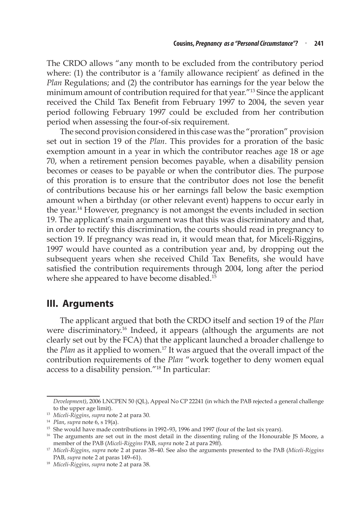The CRDO allows "any month to be excluded from the contributory period where: (1) the contributor is a 'family allowance recipient' as defined in the *Plan* Regulations; and (2) the contributor has earnings for the year below the minimum amount of contribution required for that year."13 Since the applicant received the Child Tax Benefit from February 1997 to 2004, the seven year period following February 1997 could be excluded from her contribution period when assessing the four-of-six requirement.

The second provision considered in this case was the "proration" provision set out in section 19 of the *Plan*. This provides for a proration of the basic exemption amount in a year in which the contributor reaches age 18 or age 70, when a retirement pension becomes payable, when a disability pension becomes or ceases to be payable or when the contributor dies. The purpose of this proration is to ensure that the contributor does not lose the benefit of contributions because his or her earnings fall below the basic exemption amount when a birthday (or other relevant event) happens to occur early in the year.14 However, pregnancy is not amongst the events included in section 19. The applicant's main argument was that this was discriminatory and that, in order to rectify this discrimination, the courts should read in pregnancy to section 19. If pregnancy was read in, it would mean that, for Miceli-Riggins, 1997 would have counted as a contribution year and, by dropping out the subsequent years when she received Child Tax Benefits, she would have satisfied the contribution requirements through 2004, long after the period where she appeared to have become disabled.<sup>15</sup>

### **III. Arguments**

The applicant argued that both the CRDO itself and section 19 of the *Plan* were discriminatory.<sup>16</sup> Indeed, it appears (although the arguments are not clearly set out by the FCA) that the applicant launched a broader challenge to the *Plan* as it applied to women.<sup>17</sup> It was argued that the overall impact of the contribution requirements of the *Plan* "work together to deny women equal access to a disability pension."18 In particular:

*Development)*, 2006 LNCPEN 50 (QL), Appeal No CP 22241 (in which the PAB rejected a general challenge to the upper age limit).

<sup>13</sup> *Miceli-Riggins*, *supra* note 2 at para 30.

<sup>14</sup> *Plan*, *supra* note 6, s 19(a).

<sup>&</sup>lt;sup>15</sup> She would have made contributions in 1992-93, 1996 and 1997 (four of the last six years).

<sup>&</sup>lt;sup>16</sup> The arguments are set out in the most detail in the dissenting ruling of the Honourable JS Moore, a member of the PAB (*Miceli-Riggins* PAB, *supra* note 2 at para 29ff).

<sup>17</sup> *Miceli-Riggins*, *supra* note 2 at paras 38–40. See also the arguments presented to the PAB (*Miceli-Riggins*  PAB, *supra* note 2 at paras 149–61).

<sup>18</sup> *Miceli-Riggins*, *supra* note 2 at para 38.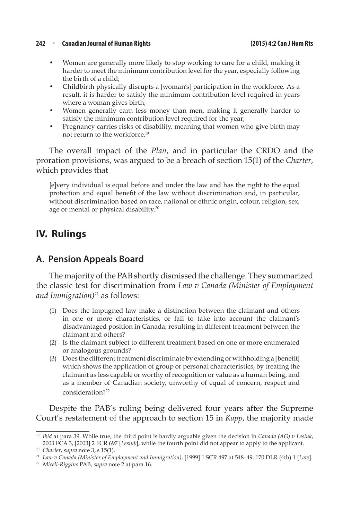#### **242** <sup>n</sup> **Canadian Journal of Human Rights (2015) 4:2 Can J Hum Rts**

- Women are generally more likely to stop working to care for a child, making it harder to meet the minimum contribution level for the year, especially following the birth of a child;
- Childbirth physically disrupts a [woman's] participation in the workforce. As a result, it is harder to satisfy the minimum contribution level required in years where a woman gives birth;
- Women generally earn less money than men, making it generally harder to satisfy the minimum contribution level required for the year;
- Pregnancy carries risks of disability, meaning that women who give birth may not return to the workforce.19

The overall impact of the *Plan*, and in particular the CRDO and the proration provisions, was argued to be a breach of section 15(1) of the *Charter*, which provides that

[e]very individual is equal before and under the law and has the right to the equal protection and equal benefit of the law without discrimination and, in particular, without discrimination based on race, national or ethnic origin, colour, religion, sex, age or mental or physical disability.<sup>20</sup>

# **IV. Rulings**

### **A. Pension Appeals Board**

The majority of the PAB shortly dismissed the challenge. They summarized the classic test for discrimination from *Law v Canada (Minister of Employment and Immigration)*<sup>21</sup> as follows:

- (1) Does the impugned law make a distinction between the claimant and others in one or more characteristics, or fail to take into account the claimant's disadvantaged position in Canada, resulting in different treatment between the claimant and others?
- (2) Is the claimant subject to different treatment based on one or more enumerated or analogous grounds?
- (3) Does the different treatment discriminate by extending or withholding a [benefit] which shows the application of group or personal characteristics, by treating the claimant as less capable or worthy of recognition or value as a human being, and as a member of Canadian society, unworthy of equal of concern, respect and consideration?22

Despite the PAB's ruling being delivered four years after the Supreme Court's restatement of the approach to section 15 in *Kapp*, the majority made

<sup>19</sup> *Ibid* at para 39. While true, the third point is hardly arguable given the decision in *Canada (AG) v Lesiuk*, 2003 FCA 3, [2003] 2 FCR 697 [*Lesiuk*], while the fourth point did not appear to apply to the applicant.

<sup>20</sup> *Charter*, *supra* note 3, s 15(1).

<sup>21</sup> *Law v Canada (Minister of Employment and Immigration)*, [1999] 1 SCR 497 at 548–49, 170 DLR (4th) 1 [*Law*].

<sup>22</sup> *Miceli-Riggins* PAB, *supra* note 2 at para 16.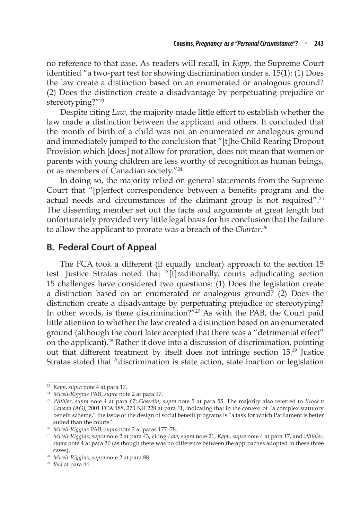no reference to that case. As readers will recall, in *Kapp*, the Supreme Court identified "a two-part test for showing discrimination under s. 15(1): (1) Does the law create a distinction based on an enumerated or analogous ground? (2) Does the distinction create a disadvantage by perpetuating prejudice or stereotyping?"<sup>23</sup>

Despite citing *Law*, the majority made little effort to establish whether the law made a distinction between the applicant and others. It concluded that the month of birth of a child was not an enumerated or analogous ground and immediately jumped to the conclusion that "[t]he Child Rearing Dropout Provision which [does] not allow for proration, does not mean that women or parents with young children are less worthy of recognition as human beings, or as members of Canadian society."24

In doing so, the majority relied on general statements from the Supreme Court that "[p]erfect correspondence between a benefits program and the actual needs and circumstances of the claimant group is not required".25 The dissenting member set out the facts and arguments at great length but unfortunately provided very little legal basis for his conclusion that the failure to allow the applicant to prorate was a breach of the *Charter*. 26

#### **B. Federal Court of Appeal**

The FCA took a different (if equally unclear) approach to the section 15 test. Justice Stratas noted that "[t]raditionally, courts adjudicating section 15 challenges have considered two questions: (1) Does the legislation create a distinction based on an enumerated or analogous ground? (2) Does the distinction create a disadvantage by perpetuating prejudice or stereotyping? In other words, is there discrimination?"<sup>27</sup> As with the PAB, the Court paid little attention to whether the law created a distinction based on an enumerated ground (although the court later accepted that there was a "detrimental effect" on the applicant).28 Rather it dove into a discussion of discrimination, pointing out that different treatment by itself does not infringe section 15.29 Justice Stratas stated that "discrimination is state action, state inaction or legislation

<sup>23</sup> *Kapp*, *supra* note 4 at para 17.

<sup>24</sup> *Miceli-Riggins* PAB, *supra* note 2 at para 17.

<sup>25</sup> *Withler*, *supra* note 4 at para 67; *Gosselin*, *supra* note 5 at para 55. The majority also referred to *Krock v Canada (AG)*, 2001 FCA 188, 273 NR 228 at para 11, indicating that in the context of "a complex statutory benefit scheme," the issue of the design of social benefit programs is "a task for which Parliament is better suited than the courts".

<sup>26</sup> *Miceli-Riggins* PAB, *supra* note 2 at paras 177–78.

<sup>27</sup> *Miceli-Riggins*, *supra* note 2 at para 43, citing *Law*, *supra* note 21, *Kapp*, *supra* note 4 at para 17, and *Withler*, *supra* note 4 at para 30 (as though there was no difference between the approaches adopted in these three cases). 28 *Miceli-Riggins*, *supra* note 2 at para 88.

<sup>29</sup> *Ibid* at para 44.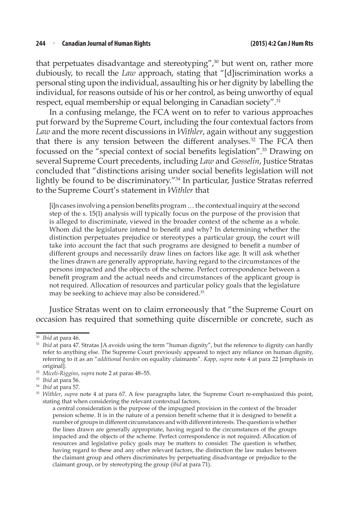that perpetuates disadvantage and stereotyping",<sup>30</sup> but went on, rather more dubiously, to recall the *Law* approach, stating that "[d]iscrimination works a personal sting upon the individual, assaulting his or her dignity by labelling the individual, for reasons outside of his or her control, as being unworthy of equal respect, equal membership or equal belonging in Canadian society".<sup>31</sup>

In a confusing melange, the FCA went on to refer to various approaches put forward by the Supreme Court, including the four contextual factors from *Law* and the more recent discussions in *Withler*, again without any suggestion that there is any tension between the different analyses.<sup>32</sup> The FCA then focussed on the "special context of social benefits legislation".<sup>33</sup> Drawing on several Supreme Court precedents, including *Law* and *Gosselin*, Justice Stratas concluded that "distinctions arising under social benefits legislation will not lightly be found to be discriminatory."34 In particular, Justice Stratas referred to the Supreme Court's statement in *Withler* that

[i]n cases involving a pension benefits program … the contextual inquiry at the second step of the s. 15(1) analysis will typically focus on the purpose of the provision that is alleged to discriminate, viewed in the broader context of the scheme as a whole. Whom did the legislature intend to benefit and why? In determining whether the distinction perpetuates prejudice or stereotypes a particular group, the court will take into account the fact that such programs are designed to benefit a number of different groups and necessarily draw lines on factors like age. It will ask whether the lines drawn are generally appropriate, having regard to the circumstances of the persons impacted and the objects of the scheme. Perfect correspondence between a benefit program and the actual needs and circumstances of the applicant group is not required. Allocation of resources and particular policy goals that the legislature may be seeking to achieve may also be considered.<sup>35</sup>

Justice Stratas went on to claim erroneously that "the Supreme Court on occasion has required that something quite discernible or concrete, such as

<sup>30</sup> *Ibid* at para 46.

<sup>&</sup>lt;sup>31</sup> *Ibid* at para 47. Stratas JA avoids using the term "human dignity", but the reference to dignity can hardly refer to anything else. The Supreme Court previously appeared to reject any reliance on human dignity, referring to it as an "*additional burden* on equality claimants". *Kapp*, *supra* note 4 at para 22 [emphasis in original].

<sup>32</sup> *Miceli-Riggins*, *supra* note 2 at paras 48–55.

<sup>33</sup> *Ibid* at para 56.

<sup>34</sup> *Ibid* at para 57.

<sup>35</sup> *Withler*, *supra* note 4 at para 67. A few paragraphs later, the Supreme Court re-emphasized this point, stating that when considering the relevant contextual factors,

a central consideration is the purpose of the impugned provision in the context of the broader pension scheme. It is in the nature of a pension benefit scheme that it is designed to benefit a number of groups in different circumstances and with different interests.The question is whether the lines drawn are generally appropriate, having regard to the circumstances of the groups impacted and the objects of the scheme. Perfect correspondence is not required. Allocation of resources and legislative policy goals may be matters to consider. The question is whether, having regard to these and any other relevant factors, the distinction the law makes between the claimant group and others discriminates by perpetuating disadvantage or prejudice to the claimant group, or by stereotyping the group (*ibid* at para 71).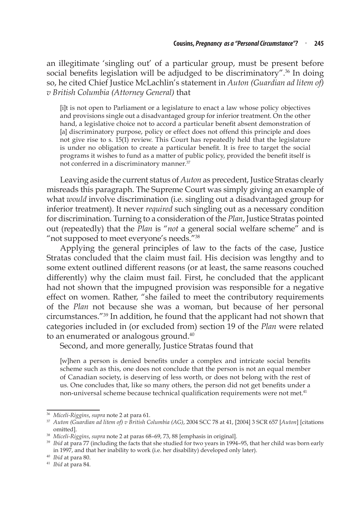an illegitimate 'singling out' of a particular group, must be present before social benefits legislation will be adjudged to be discriminatory".<sup>36</sup> In doing so, he cited Chief Justice McLachlin's statement in *Auton (Guardian ad litem of) v British Columbia (Attorney General)* that

[i]t is not open to Parliament or a legislature to enact a law whose policy objectives and provisions single out a disadvantaged group for inferior treatment. On the other hand, a legislative choice not to accord a particular benefit absent demonstration of [a] discriminatory purpose, policy or effect does not offend this principle and does not give rise to s. 15(1) review. This Court has repeatedly held that the legislature is under no obligation to create a particular benefit. It is free to target the social programs it wishes to fund as a matter of public policy, provided the benefit itself is not conferred in a discriminatory manner.<sup>37</sup>

Leaving aside the current status of *Auton* as precedent, Justice Stratas clearly misreads this paragraph. The Supreme Court was simply giving an example of what *would* involve discrimination (i.e. singling out a disadvantaged group for inferior treatment). It never *required* such singling out as a necessary condition for discrimination. Turning to a consideration of the *Plan*, Justice Stratas pointed out (repeatedly) that the *Plan* is "*not* a general social welfare scheme" and is "not supposed to meet everyone's needs."<sup>38</sup>

Applying the general principles of law to the facts of the case, Justice Stratas concluded that the claim must fail. His decision was lengthy and to some extent outlined different reasons (or at least, the same reasons couched differently) why the claim must fail. First, he concluded that the applicant had not shown that the impugned provision was responsible for a negative effect on women. Rather, "she failed to meet the contributory requirements of the *Plan* not because she was a woman, but because of her personal circumstances."39 In addition, he found that the applicant had not shown that categories included in (or excluded from) section 19 of the *Plan* were related to an enumerated or analogous ground.<sup>40</sup>

Second, and more generally, Justice Stratas found that

[w]hen a person is denied benefits under a complex and intricate social benefits scheme such as this, one does not conclude that the person is not an equal member of Canadian society, is deserving of less worth, or does not belong with the rest of us. One concludes that, like so many others, the person did not get benefits under a non-universal scheme because technical qualification requirements were not met.<sup>41</sup>

<sup>36</sup> *Miceli-Riggins*, *supra* note 2 at para 61.

<sup>37</sup> *Auton (Guardian ad litem of) v British Columbia (AG)*, 2004 SCC 78 at 41, [2004] 3 SCR 657 [*Auton*] [citations omitted].

<sup>38</sup> *Miceli-Riggins*, *supra* note 2 at paras 68–69, 73, 88 [emphasis in original].

<sup>39</sup> *Ibid* at para 77 (including the facts that she studied for two years in 1994–95, that her child was born early in 1997, and that her inability to work (i.e. her disability) developed only later). 40 *Ibid* at para 80. 41 *Ibid* at para 84.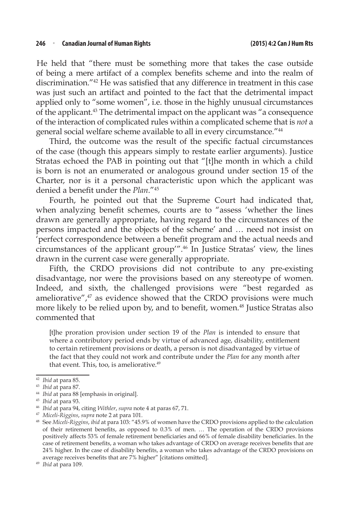He held that "there must be something more that takes the case outside of being a mere artifact of a complex benefits scheme and into the realm of discrimination."42 He was satisfied that any difference in treatment in this case was just such an artifact and pointed to the fact that the detrimental impact applied only to "some women", i.e. those in the highly unusual circumstances of the applicant.43 The detrimental impact on the applicant was "a consequence of the interaction of complicated rules within a complicated scheme that is *not* a general social welfare scheme available to all in every circumstance."44

Third, the outcome was the result of the specific factual circumstances of the case (though this appears simply to restate earlier arguments). Justice Stratas echoed the PAB in pointing out that "[t]he month in which a child is born is not an enumerated or analogous ground under section 15 of the Charter, nor is it a personal characteristic upon which the applicant was denied a benefit under the *Plan*."45

Fourth, he pointed out that the Supreme Court had indicated that, when analyzing benefit schemes, courts are to "assess 'whether the lines drawn are generally appropriate, having regard to the circumstances of the persons impacted and the objects of the scheme' and … need not insist on 'perfect correspondence between a benefit program and the actual needs and circumstances of the applicant group'".46 In Justice Stratas' view, the lines drawn in the current case were generally appropriate.

Fifth, the CRDO provisions did not contribute to any pre-existing disadvantage, nor were the provisions based on any stereotype of women. Indeed, and sixth, the challenged provisions were "best regarded as ameliorative", $47$  as evidence showed that the CRDO provisions were much more likely to be relied upon by, and to benefit, women.<sup>48</sup> Justice Stratas also commented that

[t]he proration provision under section 19 of the *Plan* is intended to ensure that where a contributory period ends by virtue of advanced age, disability, entitlement to certain retirement provisions or death, a person is not disadvantaged by virtue of the fact that they could not work and contribute under the *Plan* for any month after that event. This, too, is ameliorative.<sup>49</sup>

<sup>44</sup> *Ibid* at para 88 [emphasis in original].

<sup>42</sup> *Ibid* at para 85.

<sup>43</sup> *Ibid* at para 87.

<sup>45</sup> *Ibid* at para 93.

<sup>46</sup> *Ibid* at para 94, citing *Withler*, *supra* note 4 at paras 67, 71.

<sup>47</sup> *Miceli-Riggins*, *supra* note 2 at para 101.

<sup>48</sup> See *Miceli-Riggins*, *ibid* at para 103: "45.9% of women have the CRDO provisions applied to the calculation of their retirement benefits, as opposed to 0.3% of men. … The operation of the CRDO provisions positively affects 53% of female retirement beneficiaries and 66% of female disability beneficiaries. In the case of retirement benefits, a woman who takes advantage of CRDO on average receives benefits that are 24% higher. In the case of disability benefits, a woman who takes advantage of the CRDO provisions on average receives benefits that are 7% higher" [citations omitted].

<sup>49</sup> *Ibid* at para 109.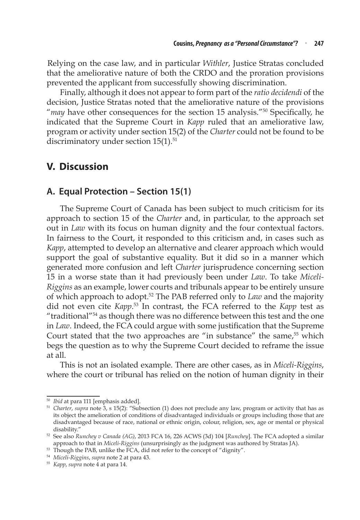Relying on the case law, and in particular *Withler*, Justice Stratas concluded that the ameliorative nature of both the CRDO and the proration provisions prevented the applicant from successfully showing discrimination.

Finally, although it does not appear to form part of the *ratio decidendi* of the decision, Justice Stratas noted that the ameliorative nature of the provisions "*may* have other consequences for the section 15 analysis."<sup>50</sup> Specifically, he indicated that the Supreme Court in *Kapp* ruled that an ameliorative law, program or activity under section 15(2) of the *Charter* could not be found to be discriminatory under section  $15(1)$ .<sup>51</sup>

## **V. Discussion**

### **A. Equal Protection – Section 15(1)**

The Supreme Court of Canada has been subject to much criticism for its approach to section 15 of the *Charter* and, in particular, to the approach set out in *Law* with its focus on human dignity and the four contextual factors. In fairness to the Court, it responded to this criticism and, in cases such as *Kapp*, attempted to develop an alternative and clearer approach which would support the goal of substantive equality. But it did so in a manner which generated more confusion and left *Charter* jurisprudence concerning section 15 in a worse state than it had previously been under *Law*. To take *Miceli-Riggins* as an example, lower courts and tribunals appear to be entirely unsure of which approach to adopt.52 The PAB referred only to *Law* and the majority did not even cite *Kapp*. 53 In contrast, the FCA referred to the *Kapp* test as "traditional"54 as though there was no difference between this test and the one in *Law*. Indeed, the FCA could argue with some justification that the Supreme Court stated that the two approaches are "in substance" the same, $55$  which begs the question as to why the Supreme Court decided to reframe the issue at all.

This is not an isolated example. There are other cases, as in *Miceli-Riggins*, where the court or tribunal has relied on the notion of human dignity in their

<sup>50</sup> *Ibid* at para 111 [emphasis added].

<sup>51</sup> *Charter*, *supra* note 3, s 15(2): "Subsection (1) does not preclude any law, program or activity that has as its object the amelioration of conditions of disadvantaged individuals or groups including those that are disadvantaged because of race, national or ethnic origin, colour, religion, sex, age or mental or physical disability."

<sup>52</sup> See also *Runchey v Canada (AG)*, 2013 FCA 16, 226 ACWS (3d) 104 [*Runchey*]. The FCA adopted a similar approach to that in *Miceli-Riggins* (unsurprisingly as the judgment was authored by Stratas JA).

<sup>&</sup>lt;sup>53</sup> Though the PAB, unlike the FCA, did not refer to the concept of "dignity".

<sup>54</sup> *Miceli-Riggins*, *supra* note 2 at para 43.

<sup>55</sup> *Kapp*, *supra* note 4 at para 14.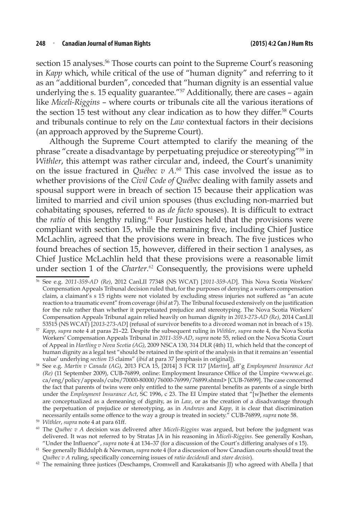section 15 analyses.<sup>56</sup> Those courts can point to the Supreme Court's reasoning in *Kapp* which, while critical of the use of "human dignity" and referring to it as an "additional burden", conceded that "human dignity is an essential value underlying the s. 15 equality guarantee."<sup>57</sup> Additionally, there are cases - again like *Miceli-Riggins* – where courts or tribunals cite all the various iterations of the section 15 test without any clear indication as to how they differ.58 Courts and tribunals continue to rely on the *Law* contextual factors in their decisions (an approach approved by the Supreme Court).

Although the Supreme Court attempted to clarify the meaning of the phrase "create a disadvantage by perpetuating prejudice or stereotyping"59 in *Withler*, this attempt was rather circular and, indeed, the Court's unanimity on the issue fractured in *Québec v A*. 60 This case involved the issue as to whether provisions of the *Civil Code of Québec* dealing with family assets and spousal support were in breach of section 15 because their application was limited to married and civil union spouses (thus excluding non-married but cohabitating spouses, referred to as *de facto* spouses). It is difficult to extract the *ratio* of this lengthy ruling.<sup>61</sup> Four Justices held that the provisions were compliant with section 15, while the remaining five, including Chief Justice McLachlin, agreed that the provisions were in breach. The five justices who found breaches of section 15, however, differed in their section 1 analyses, as Chief Justice McLachlin held that these provisions were a reasonable limit under section 1 of the *Charter*. <sup>62</sup> Consequently, the provisions were upheld

<sup>56</sup> See e.g. *2011-359-AD (Re)*, 2012 CanLII 77348 (NS WCAT) [*2011-359-AD*]. This Nova Scotia Workers' Compensation Appeals Tribunal decision ruled that, for the purposes of denying a workers compensation claim, a claimant's s 15 rights were not violated by excluding stress injuries not suffered as "an acute reaction to a traumatic event" from coverage (*ibid* at 7). The Tribunal focused extensively on the justification for the rule rather than whether it perpetuated prejudice and stereotyping. The Nova Scotia Workers' Compensation Appeals Tribunal again relied heavily on human dignity in *2013-273-AD (Re)*, 2014 CanLII 53515 (NS WCAT) [*2013-273-AD*] (refusal of survivor benefits to a divorced woman not in breach of s 15).

<sup>57</sup> *Kapp*, *supra* note 4 at paras 21–22. Despite the subsequent ruling in *Withler*, *supra* note 4, the Nova Scotia Workers' Compensation Appeals Tribunal in *2011-359-AD*, *supra* note 55, relied on the Nova Scotia Court of Appeal in *Hartling v Nova Scotia (AG)*, 2009 NSCA 130, 314 DLR (4th) 11, which held that the concept of human dignity as a legal test "should be retained in the spirit of the analysis in that it remains an 'essential value' underlying *section 15* claims" (*ibid* at para 37 [emphasis in original]).

<sup>58</sup> See e.g. *Martin v Canada (AG)*, 2013 FCA 15, [2014] 3 FCR 117 [*Martin*], aff'g *Employment Insurance Act (Re)* (11 September 2009), CUB-76899, online: Employment Insurance Office of the Umpire <www.ei.gc. ca/eng/policy/appeals/cubs/70000-80000/76000-76999/76899.shtml> [CUB-76899]. The case concerned the fact that parents of twins were only entitled to the same parental benefits as parents of a single birth under the *Employment Insurance Act*, SC 1996, c 23. The EI Umpire stated that "[w]hether the elements are conceptualized as a demeaning of dignity, as in *Law*, or as the creation of a disadvantage through the perpetuation of prejudice or stereotyping, as in *Andrews* and *Kapp*, it is clear that discrimination necessarily entails some offence to the way a group is treated in society." CUB-76899, *supra* note 58.

<sup>59</sup> *Withler*, *supra* note 4 at para 61ff.

<sup>60</sup> The *Québec v A* decision was delivered after *Miceli-Riggins* was argued, but before the judgment was delivered. It was not referred to by Stratas JA in his reasoning in *Miceli-Riggins*. See generally Koshan, "Under the Influence", *supra* note 4 at 134–37 (for a discussion of the Court's differing analyses of s 15).

<sup>61</sup> See generally Biddulph & Newman, *supra* note 4 (for a discussion of how Canadian courts should treat the *Québec v A* ruling, specifically concerning issues of *ratio decidendi* and *stare decisis*).

 $62$  The remaining three justices (Deschamps, Cromwell and Karakatsanis JJ) who agreed with Abella J that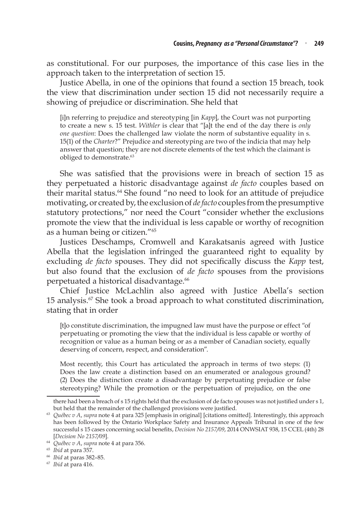as constitutional. For our purposes, the importance of this case lies in the approach taken to the interpretation of section 15.

Justice Abella, in one of the opinions that found a section 15 breach, took the view that discrimination under section 15 did not necessarily require a showing of prejudice or discrimination. She held that

[i]n referring to prejudice and stereotyping [in *Kapp*], the Court was not purporting to create a new s. 15 test. *Withler* is clear that "[a]t the end of the day there is *only one question*: Does the challenged law violate the norm of substantive equality in s. 15(1) of the *Charter*?" Prejudice and stereotyping are two of the indicia that may help answer that question; they are not discrete elements of the test which the claimant is obliged to demonstrate.63

She was satisfied that the provisions were in breach of section 15 as they perpetuated a historic disadvantage against *de facto* couples based on their marital status.<sup>64</sup> She found "no need to look for an attitude of prejudice motivating, or created by, the exclusion of *de facto* couples from the presumptive statutory protections," nor need the Court "consider whether the exclusions promote the view that the individual is less capable or worthy of recognition as a human being or citizen."65

Justices Deschamps, Cromwell and Karakatsanis agreed with Justice Abella that the legislation infringed the guaranteed right to equality by excluding *de facto* spouses. They did not specifically discuss the *Kapp* test, but also found that the exclusion of *de facto* spouses from the provisions perpetuated a historical disadvantage.<sup>66</sup>

Chief Justice McLachlin also agreed with Justice Abella's section 15 analysis.<sup> $67$ </sup> She took a broad approach to what constituted discrimination, stating that in order

[t]o constitute discrimination, the impugned law must have the purpose or effect "of perpetuating or promoting the view that the individual is less capable or worthy of recognition or value as a human being or as a member of Canadian society, equally deserving of concern, respect, and consideration".

Most recently, this Court has articulated the approach in terms of two steps: (1) Does the law create a distinction based on an enumerated or analogous ground? (2) Does the distinction create a disadvantage by perpetuating prejudice or false stereotyping? While the promotion or the perpetuation of prejudice, on the one

there had been a breach of s 15 rights held that the exclusion of de facto spouses was not justified under s 1, but held that the remainder of the challenged provisions were justified.

<sup>&</sup>lt;sup>63</sup> *Québec v A, supra* note 4 at para 325 [emphasis in original] [citations omitted]. Interestingly, this approach has been followed by the Ontario Workplace Safety and Insurance Appeals Tribunal in one of the few successful s 15 cases concerning social benefits, *Decision No 2157/09*, 2014 ONWSIAT 938, 15 CCEL (4th) 28 [*Decision No 2157/09*].

<sup>64</sup> *Québec v A*, *supra* note 4 at para 356.

<sup>65</sup> *Ibid* at para 357.

<sup>66</sup> *Ibid* at paras 382–85.

<sup>67</sup> *Ibid* at para 416.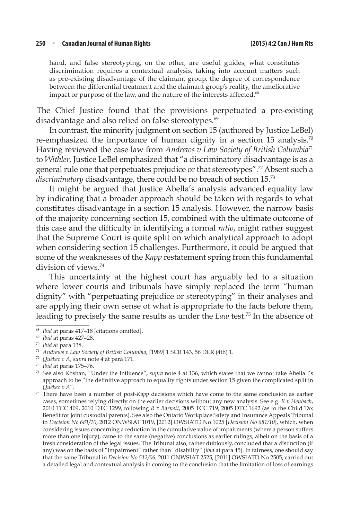#### **250** <sup>n</sup> **Canadian Journal of Human Rights (2015) 4:2 Can J Hum Rts**

hand, and false stereotyping, on the other, are useful guides, what constitutes discrimination requires a contextual analysis, taking into account matters such as pre-existing disadvantage of the claimant group, the degree of correspondence between the differential treatment and the claimant group's reality, the ameliorative impact or purpose of the law, and the nature of the interests affected.<sup>68</sup>

The Chief Justice found that the provisions perpetuated a pre-existing disadvantage and also relied on false stereotypes.<sup>69</sup>

In contrast, the minority judgment on section 15 (authored by Justice LeBel) re-emphasized the importance of human dignity in a section 15 analysis.<sup>70</sup> Having reviewed the case law from *Andrews v Law Society of British Columbia*<sup>71</sup> to *Withler*, Justice LeBel emphasized that "a discriminatory disadvantage is as a general rule one that perpetuates prejudice or that stereotypes".72 Absent such a *discriminatory* disadvantage, there could be no breach of section 15.73

It might be argued that Justice Abella's analysis advanced equality law by indicating that a broader approach should be taken with regards to what constitutes disadvantage in a section 15 analysis. However, the narrow basis of the majority concerning section 15, combined with the ultimate outcome of this case and the difficulty in identifying a formal *ratio*, might rather suggest that the Supreme Court is quite split on which analytical approach to adopt when considering section 15 challenges. Furthermore, it could be argued that some of the weaknesses of the *Kapp* restatement spring from this fundamental division of views.74

This uncertainty at the highest court has arguably led to a situation where lower courts and tribunals have simply replaced the term "human dignity" with "perpetuating prejudice or stereotyping" in their analyses and are applying their own sense of what is appropriate to the facts before them, leading to precisely the same results as under the *Law* test.75 In the absence of

<sup>68</sup> *Ibid* at paras 417–18 [citations omitted].

<sup>&</sup>lt;sup>69</sup> *Ibid* at paras 427-28.<br><sup>70</sup> *Ibid* at para 138.

<sup>&</sup>lt;sup>71</sup> Andrews v Law Society of British Columbia, [1989] 1 SCR 143, 56 DLR (4th) 1.

<sup>72</sup> *Québec v A*, *supra* note 4 at para 171.

<sup>73</sup> *Ibid* at paras 175–76.

<sup>74</sup> See also Koshan, "Under the Influence", *supra* note 4 at 136, which states that we cannot take Abella J's approach to be "the definitive approach to equality rights under section 15 given the complicated split in Québec  $v$  A".

<sup>&</sup>lt;sup>75</sup> There have been a number of post-*Kapp* decisions which have come to the same conclusion as earlier cases, sometimes relying directly on the earlier decisions without any new analysis. See e.g. *R v Heubach*, 2010 TCC 409, 2010 DTC 1299, following *R v Barnett*, 2005 TCC 719, 2005 DTC 1692 (as to the Child Tax Benefit for joint custodial parents). See also the Ontario Workplace Safety and Insurance Appeals Tribunal in *Decision No 681/10*, 2012 ONWSIAT 1019, [2012] OWSIATD No 1025 [*Decision No 681/10*], which, when considering issues concerning a reduction in the cumulative value of impairments (where a person suffers more than one injury), came to the same (negative) conclusions as earlier rulings, albeit on the basis of a fresh consideration of the legal issues. The Tribunal also, rather dubiously, concluded that a distinction (if any) was on the basis of "impairment" rather than "disability" (*ibid* at para 45). In fairness, one should say that the same Tribunal in *Decision No 512/06*, 2011 ONWSIAT 2525, [2011] OWSIATD No 2505, carried out a detailed legal and contextual analysis in coming to the conclusion that the limitation of loss of earnings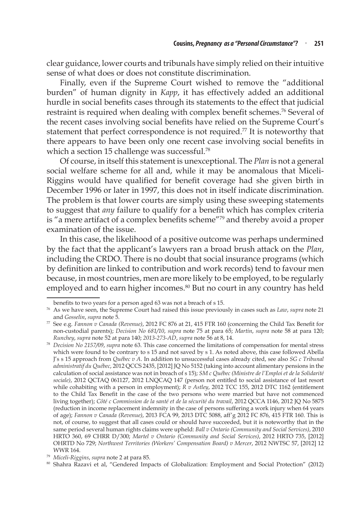clear guidance, lower courts and tribunals have simply relied on their intuitive sense of what does or does not constitute discrimination.

Finally, even if the Supreme Court wished to remove the "additional burden" of human dignity in *Kapp*, it has effectively added an additional hurdle in social benefits cases through its statements to the effect that judicial restraint is required when dealing with complex benefit schemes.<sup>76</sup> Several of the recent cases involving social benefits have relied on the Supreme Court's statement that perfect correspondence is not required.<sup>77</sup> It is noteworthy that there appears to have been only one recent case involving social benefits in which a section 15 challenge was successful.<sup>78</sup>

Of course, in itself this statement is unexceptional. The *Plan* is not a general social welfare scheme for all and, while it may be anomalous that Miceli-Riggins would have qualified for benefit coverage had she given birth in December 1996 or later in 1997, this does not in itself indicate discrimination. The problem is that lower courts are simply using these sweeping statements to suggest that *any* failure to qualify for a benefit which has complex criteria is "a mere artifact of a complex benefits scheme"<sup>79</sup> and thereby avoid a proper examination of the issue.

In this case, the likelihood of a positive outcome was perhaps undermined by the fact that the applicant's lawyers ran a broad brush attack on the *Plan*, including the CRDO. There is no doubt that social insurance programs (which by definition are linked to contribution and work records) tend to favour men because, in most countries, men are more likely to be employed, to be regularly employed and to earn higher incomes.<sup>80</sup> But no court in any country has held

benefits to two years for a person aged 63 was not a breach of s 15.

<sup>76</sup> As we have seen, the Supreme Court had raised this issue previously in cases such as *Law*, *supra* note 21 and *Gosselin*, *supra* note 5.

<sup>77</sup> See e.g. *Fannon v Canada (Revenue)*, 2012 FC 876 at 21, 415 FTR 160 (concerning the Child Tax Benefit for non-custodial parents); *Decision No 681/10*, *supra* note 75 at para 65; *Martin*, *supra* note 58 at para 120;

*Runchey*, *supra* note 52 at para 140; *2013-273-AD*, *supra* note 56 at 8, 14. 78 *Decision No 2157/09*, *supra* note 63. This case concerned the limitations of compensation for mental stress which were found to be contrary to s 15 and not saved by s 1. As noted above, this case followed Abella J's s 15 approach from *Québec v A*. In addition to unsuccessful cases already cited, see also *SG c Tribunal administratif du Québec*, 2012 QCCS 2435, [2012] JQ No 5152 (taking into account alimentary pensions in the calculation of social assistance was not in breach of s 15); *SM c Québec (Ministre de l'Emploi et de la Solidarité sociale)*, 2012 QCTAQ 061127, 2012 LNQCAQ 147 (person not entitled to social assistance of last resort while cohabiting with a person in employment); *R v Astley*, 2012 TCC 155, 2012 DTC 1162 (entitlement to the Child Tax Benefit in the case of the two persons who were married but have not commenced living together); *Côté c Commission de la santé et de la sécurité du travail*, 2012 QCCA 1146, 2012 JQ No 5875 (reduction in income replacement indemnity in the case of persons suffering a work injury when 64 years of age); *Fannon v Canada (Revenue)*, 2013 FCA 99, 2013 DTC 5088, aff'g 2012 FC 876, 415 FTR 160. This is not, of course, to suggest that all cases could or should have succeeded, but it is noteworthy that in the same period several human rights claims were upheld: *Ball v Ontario (Community and Social Services)*, 2010 HRTO 360, 69 CHRR D/300; *Martel v Ontario (Community and Social Services)*, 2012 HRTO 735, [2012] OHRTD No 729; *Northwest Territories (Workers' Compensation Board) v Mercer*, 2012 NWTSC 57, [2012] 12 WWR 164.

<sup>79</sup> *Miceli-Riggins*, *supra* note 2 at para 85.

<sup>80</sup> Shahra Razavi et al, "Gendered Impacts of Globalization: Employment and Social Protection" (2012)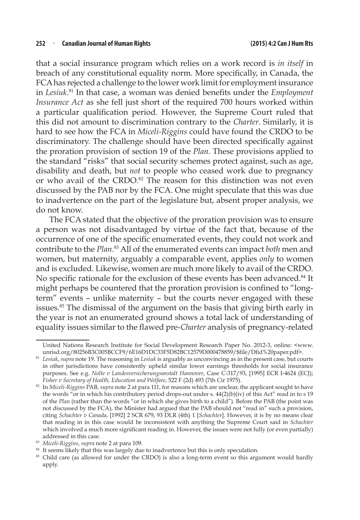that a social insurance program which relies on a work record is *in itself* in breach of any constitutional equality norm. More specifically, in Canada, the FCA has rejected a challenge to the lower work limit for employment insurance in *Lesiuk*. <sup>81</sup> In that case, a woman was denied benefits under the *Employment Insurance Act* as she fell just short of the required 700 hours worked within a particular qualification period. However, the Supreme Court ruled that this did not amount to discrimination contrary to the *Charter*. Similarly, it is hard to see how the FCA in *Miceli-Riggins* could have found the CRDO to be discriminatory. The challenge should have been directed specifically against the proration provision of section 19 of the *Plan*. These provisions applied to the standard "risks" that social security schemes protect against, such as age, disability and death, but *not* to people who ceased work due to pregnancy or who avail of the CRDO.<sup>82</sup> The reason for this distinction was not even discussed by the PAB nor by the FCA. One might speculate that this was due to inadvertence on the part of the legislature but, absent proper analysis, we do not know.

The FCA stated that the objective of the proration provision was to ensure a person was not disadvantaged by virtue of the fact that, because of the occurrence of one of the specific enumerated events, they could not work and contribute to the *Plan*. 83 All of the enumerated events can impact *both* men and women, but maternity, arguably a comparable event, applies *only* to women and is excluded. Likewise, women are much more likely to avail of the CRDO. No specific rationale for the exclusion of these events has been advanced.<sup>84</sup> It might perhaps be countered that the proration provision is confined to "longterm" events – unlike maternity – but the courts never engaged with these issues.<sup>85</sup> The dismissal of the argument on the basis that giving birth early in the year is not an enumerated ground shows a total lack of understanding of equality issues similar to the flawed pre-*Charter* analysis of pregnancy-related

United Nations Research Institute for Social Development Research Paper No. 2012-3, online: <www. unrisd.org/80256B3C005BCCF9/6E16D1DC33F5D82BC12579D000478859/\$file/Dfid%20paper.pdf>.

<sup>81</sup> *Lesiuk*, *supra* note 19. The reasoning in *Lesiuk* is arguably as unconvincing as in the present case, but courts in other jurisdictions have consistently upheld similar lower earnings thresholds for social insurance purposes. See e.g. *Nolte v Landesversicherungsanstalt Hannover*, Case C-317/93, [1995] ECR I-4624 (ECJ); *Fisher v Secretary of Health, Education and Welfare*, 522 F (2d) 493 (7th Cir 1975).

<sup>82</sup> In *Miceli-Riggins* PAB, *supra* note 2 at para 111, for reasons which are unclear, the applicant sought to have the words "or in which his contributory period drops-out under s. 44(2)(b)(iv) of this Act" read in to s 19 of the *Plan* (rather than the words "or in which she gives birth to a child"). Before the PAB (the point was not discussed by the FCA), the Minister had argued that the PAB should not "read in" such a provision, citing *Schachter v Canada*, [1992] 2 SCR 679, 93 DLR (4th) 1 [*Schachter*]. However, it is by no means clear that reading in in this case would be inconsistent with anything the Supreme Court said in *Schachter* which involved a much more significant reading in. However, the issues were not fully (or even partially) addressed in this case.

<sup>83</sup> *Miceli-Riggins*, *supra* note 2 at para 109.

<sup>&</sup>lt;sup>84</sup> It seems likely that this was largely due to inadvertence but this is only speculation.

<sup>&</sup>lt;sup>85</sup> Child care (as allowed for under the CRDO) is also a long-term event so this argument would hardly apply.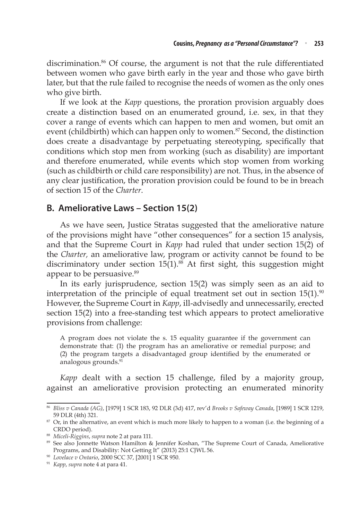discrimination.86 Of course, the argument is not that the rule differentiated between women who gave birth early in the year and those who gave birth later, but that the rule failed to recognise the needs of women as the only ones who give birth.

If we look at the *Kapp* questions, the proration provision arguably does create a distinction based on an enumerated ground, i.e. sex, in that they cover a range of events which can happen to men and women, but omit an event (childbirth) which can happen only to women.<sup>87</sup> Second, the distinction does create a disadvantage by perpetuating stereotyping, specifically that conditions which stop men from working (such as disability) are important and therefore enumerated, while events which stop women from working (such as childbirth or child care responsibility) are not. Thus, in the absence of any clear justification, the proration provision could be found to be in breach of section 15 of the *Charter*.

#### **B. Ameliorative Laws – Section 15(2)**

As we have seen, Justice Stratas suggested that the ameliorative nature of the provisions might have "other consequences" for a section 15 analysis, and that the Supreme Court in *Kapp* had ruled that under section 15(2) of the *Charter,* an ameliorative law, program or activity cannot be found to be discriminatory under section  $15(1)$ .<sup>88</sup> At first sight, this suggestion might appear to be persuasive.<sup>89</sup>

In its early jurisprudence, section 15(2) was simply seen as an aid to interpretation of the principle of equal treatment set out in section  $15(1).$ <sup>90</sup> However, the Supreme Court in *Kapp*, ill-advisedly and unnecessarily, erected section 15(2) into a free-standing test which appears to protect ameliorative provisions from challenge:

A program does not violate the s. 15 equality guarantee if the government can demonstrate that: (1) the program has an ameliorative or remedial purpose; and (2) the program targets a disadvantaged group identified by the enumerated or analogous grounds.91

*Kapp* dealt with a section 15 challenge, filed by a majority group, against an ameliorative provision protecting an enumerated minority

<sup>86</sup> *Bliss v Canada (AG)*, [1979] 1 SCR 183, 92 DLR (3d) 417, rev'd *Brooks v Safeway Canada*, [1989] 1 SCR 1219, 59 DLR (4th) 321.

<sup>&</sup>lt;sup>87</sup> Or, in the alternative, an event which is much more likely to happen to a woman (i.e. the beginning of a CRDO period).

<sup>88</sup> *Miceli-Riggins*, *supra* note 2 at para 111.

<sup>89</sup> See also Jonnette Watson Hamilton & Jennifer Koshan, "The Supreme Court of Canada, Ameliorative Programs, and Disability: Not Getting It" (2013) 25:1 CJWL 56.

<sup>90</sup> *Lovelace v Ontario*, 2000 SCC 37, [2001] 1 SCR 950.

<sup>91</sup> *Kapp*, *supra* note 4 at para 41.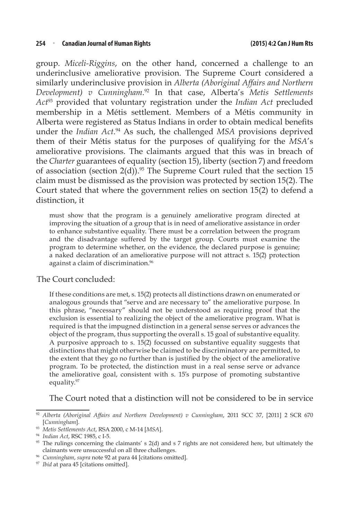group. *Miceli-Riggins*, on the other hand, concerned a challenge to an underinclusive ameliorative provision. The Supreme Court considered a similarly underinclusive provision in *Alberta (Aboriginal Affairs and Northern Development) v Cunningham*. 92 In that case, Alberta's *Metis Settlements Act*93 provided that voluntary registration under the *Indian Act* precluded membership in a Métis settlement. Members of a Métis community in Alberta were registered as Status Indians in order to obtain medical benefits under the *Indian Act*.<sup>94</sup> As such, the challenged MSA provisions deprived them of their Métis status for the purposes of qualifying for the *MSA*'s ameliorative provisions. The claimants argued that this was in breach of the *Charter* guarantees of equality (section 15), liberty (section 7) and freedom of association (section  $2(d)$ ).<sup>95</sup> The Supreme Court ruled that the section 15 claim must be dismissed as the provision was protected by section 15(2). The Court stated that where the government relies on section 15(2) to defend a distinction, it

must show that the program is a genuinely ameliorative program directed at improving the situation of a group that is in need of ameliorative assistance in order to enhance substantive equality. There must be a correlation between the program and the disadvantage suffered by the target group. Courts must examine the program to determine whether, on the evidence, the declared purpose is genuine; a naked declaration of an ameliorative purpose will not attract s. 15(2) protection against a claim of discrimination.<sup>96</sup>

#### The Court concluded:

If these conditions are met, s. 15(2) protects all distinctions drawn on enumerated or analogous grounds that "serve and are necessary to" the ameliorative purpose. In this phrase, "necessary" should not be understood as requiring proof that the exclusion is essential to realizing the object of the ameliorative program. What is required is that the impugned distinction in a general sense serves or advances the object of the program, thus supporting the overall s. 15 goal of substantive equality. A purposive approach to s. 15(2) focussed on substantive equality suggests that distinctions that might otherwise be claimed to be discriminatory are permitted, to the extent that they go no further than is justified by the object of the ameliorative program. To be protected, the distinction must in a real sense serve or advance the ameliorative goal, consistent with s. 15's purpose of promoting substantive equality.97

The Court noted that a distinction will not be considered to be in service

<sup>92</sup> *Alberta (Aboriginal Affairs and Northern Development) v Cunningham*, 2011 SCC 37, [2011] 2 SCR 670 [*Cunningham*].

<sup>93</sup> *Metis Settlements Act*, RSA 2000, c M-14 [*MSA*].

<sup>94</sup> *Indian Act*, RSC 1985, c I-5.

<sup>95</sup> The rulings concerning the claimants' s 2(d) and s 7 rights are not considered here, but ultimately the claimants were unsuccessful on all three challenges.

<sup>96</sup> *Cunningham*, *supra* note 92 at para 44 [citations omitted]. 97 *Ibid* at para 45 [citations omitted].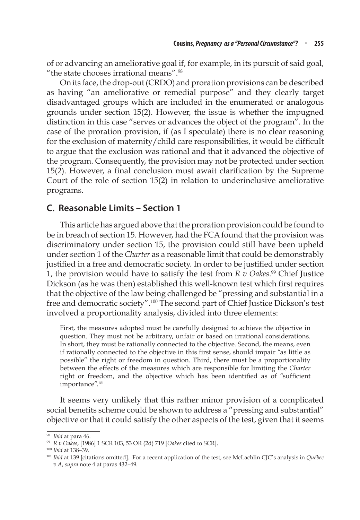of or advancing an ameliorative goal if, for example, in its pursuit of said goal, "the state chooses irrational means".98

On its face, the drop-out (CRDO) and proration provisions can be described as having "an ameliorative or remedial purpose" and they clearly target disadvantaged groups which are included in the enumerated or analogous grounds under section 15(2). However, the issue is whether the impugned distinction in this case "serves or advances the object of the program". In the case of the proration provision, if (as I speculate) there is no clear reasoning for the exclusion of maternity/child care responsibilities, it would be difficult to argue that the exclusion was rational and that it advanced the objective of the program. Consequently, the provision may not be protected under section 15(2). However, a final conclusion must await clarification by the Supreme Court of the role of section 15(2) in relation to underinclusive ameliorative programs.

### **C. Reasonable Limits – Section 1**

This article has argued above that the proration provision could be found to be in breach of section 15. However, had the FCA found that the provision was discriminatory under section 15, the provision could still have been upheld under section 1 of the *Charter* as a reasonable limit that could be demonstrably justified in a free and democratic society. In order to be justified under section 1, the provision would have to satisfy the test from *R v Oakes*. 99 Chief Justice Dickson (as he was then) established this well-known test which first requires that the objective of the law being challenged be "pressing and substantial in a free and democratic society".100 The second part of Chief Justice Dickson's test involved a proportionality analysis, divided into three elements:

First, the measures adopted must be carefully designed to achieve the objective in question. They must not be arbitrary, unfair or based on irrational considerations. In short, they must be rationally connected to the objective. Second, the means, even if rationally connected to the objective in this first sense, should impair "as little as possible" the right or freedom in question. Third, there must be a proportionality between the effects of the measures which are responsible for limiting the *Charter* right or freedom, and the objective which has been identified as of "sufficient importance".<sup>101</sup>

It seems very unlikely that this rather minor provision of a complicated social benefits scheme could be shown to address a "pressing and substantial" objective or that it could satisfy the other aspects of the test, given that it seems

<sup>98</sup> *Ibid* at para 46.

<sup>99</sup> *R v Oakes*, [1986] 1 SCR 103, 53 OR (2d) 719 [*Oakes* cited to SCR].

<sup>100</sup>*Ibid* at 138–39.

<sup>101</sup> *Ibid* at 139 [citations omitted]. For a recent application of the test, see McLachlin CJC's analysis in *Québec v A*, *supra* note 4 at paras 432–49.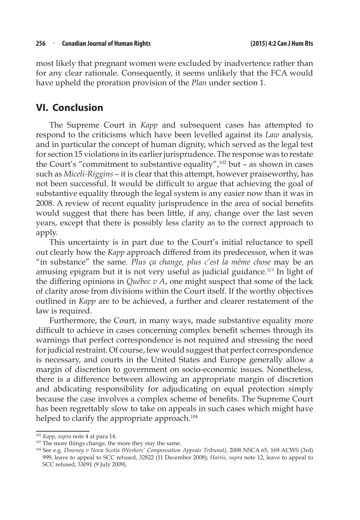most likely that pregnant women were excluded by inadvertence rather than for any clear rationale. Consequently, it seems unlikely that the FCA would have upheld the proration provision of the *Plan* under section 1.

## **VI. Conclusion**

The Supreme Court in *Kapp* and subsequent cases has attempted to respond to the criticisms which have been levelled against its *Law* analysis, and in particular the concept of human dignity, which served as the legal test for section 15 violations in its earlier jurisprudence. The response was to restate the Court's "commitment to substantive equality",102 but – as shown in cases such as *Miceli-Riggins* – it is clear that this attempt, however praiseworthy, has not been successful. It would be difficult to argue that achieving the goal of substantive equality through the legal system is any easier now than it was in 2008. A review of recent equality jurisprudence in the area of social benefits would suggest that there has been little, if any, change over the last seven years, except that there is possibly less clarity as to the correct approach to apply.

This uncertainty is in part due to the Court's initial reluctance to spell out clearly how the *Kapp* approach differed from its predecessor, when it was "in substance" the same. *Plus ça change, plus c'est la même chose* may be an amusing epigram but it is not very useful as judicial guidance.<sup>103</sup> In light of the differing opinions in *Québec v A*, one might suspect that some of the lack of clarity arose from divisions within the Court itself. If the worthy objectives outlined in *Kapp* are to be achieved, a further and clearer restatement of the law is required.

Furthermore, the Court, in many ways, made substantive equality more difficult to achieve in cases concerning complex benefit schemes through its warnings that perfect correspondence is not required and stressing the need for judicial restraint. Of course, few would suggest that perfect correspondence is necessary, and courts in the United States and Europe generally allow a margin of discretion to government on socio-economic issues. Nonetheless, there is a difference between allowing an appropriate margin of discretion and abdicating responsibility for adjudicating on equal protection simply because the case involves a complex scheme of benefits. The Supreme Court has been regrettably slow to take on appeals in such cases which might have helped to clarify the appropriate approach.<sup>104</sup>

<sup>102</sup> *Kapp*, *supra* note 4 at para 14.

<sup>&</sup>lt;sup>103</sup> The more things change, the more they stay the same.

<sup>104</sup> See e.g. *Downey v Nova Scotia (Workers' Compensation Appeals Tribunal)*, 2008 NSCA 65, 169 ACWS (3rd) 999, leave to appeal to SCC refused, 32822 (11 December 2008); *Harris*, *supra* note 12, leave to appeal to SCC refused, 33091 (9 July 2009).